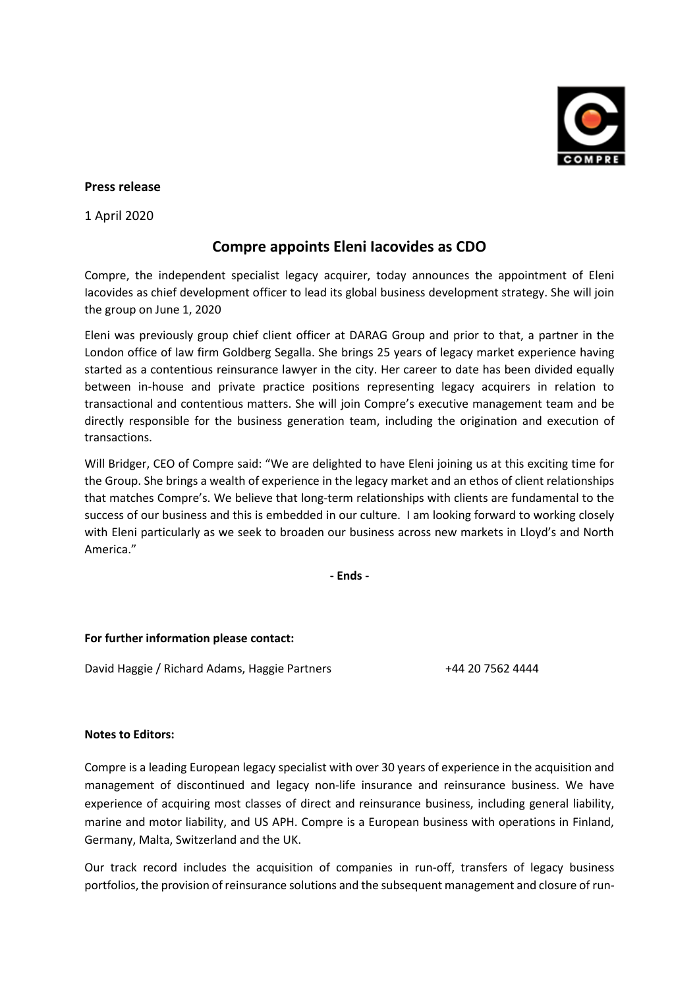

## **Press release**

1 April 2020

## **Compre appoints Eleni Iacovides as CDO**

Compre, the independent specialist legacy acquirer, today announces the appointment of Eleni Iacovides as chief development officer to lead its global business development strategy. She will join the group on June 1, 2020

Eleni was previously group chief client officer at DARAG Group and prior to that, a partner in the London office of law firm Goldberg Segalla. She brings 25 years of legacy market experience having started as a contentious reinsurance lawyer in the city. Her career to date has been divided equally between in-house and private practice positions representing legacy acquirers in relation to transactional and contentious matters. She will join Compre's executive management team and be directly responsible for the business generation team, including the origination and execution of transactions.

Will Bridger, CEO of Compre said: "We are delighted to have Eleni joining us at this exciting time for the Group. She brings a wealth of experience in the legacy market and an ethos of client relationships that matches Compre's. We believe that long-term relationships with clients are fundamental to the success of our business and this is embedded in our culture. I am looking forward to working closely with Eleni particularly as we seek to broaden our business across new markets in Lloyd's and North America."

**- Ends -**

## **For further information please contact:**

David Haggie / Richard Adams, Haggie Partners +44 20 7562 4444

## **Notes to Editors:**

Compre is a leading European legacy specialist with over 30 years of experience in the acquisition and management of discontinued and legacy non-life insurance and reinsurance business. We have experience of acquiring most classes of direct and reinsurance business, including general liability, marine and motor liability, and US APH. Compre is a European business with operations in Finland, Germany, Malta, Switzerland and the UK.

Our track record includes the acquisition of companies in run-off, transfers of legacy business portfolios, the provision of reinsurance solutions and the subsequent management and closure of run